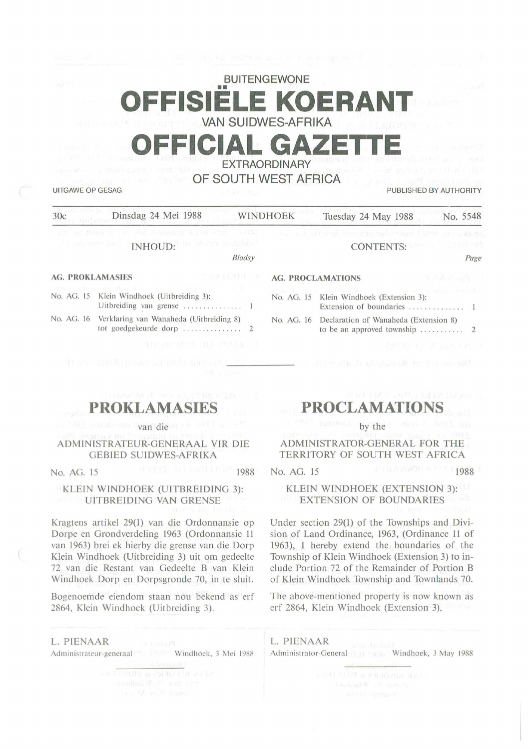# BUITENGEWONE **E KOERA** VAN SUIDWES-AFRIKA

# **OFFICIAL GAZETTE**  EXTRAORDINARY

OF SOUTH WEST AFRICA

UITGAWE OP GESAG PUBLISHED BY AUTHORITY

| 30c                                                                            | Dinsdag 24 Mei 1988                                                                                                                                                                                                                                                                |                  | <b>WINDHOEK</b> | Tuesday 24 May 1988                                                                           | No. 5548      |
|--------------------------------------------------------------------------------|------------------------------------------------------------------------------------------------------------------------------------------------------------------------------------------------------------------------------------------------------------------------------------|------------------|-----------------|-----------------------------------------------------------------------------------------------|---------------|
|                                                                                | and are more the state demanage cand seal " sumer<br>and the first state of the state of the state of the state of the state of the state of the state of the state of the state of the state of the state of the state of the state of the state of the state of the state of the | Bladsy           |                 | the Link of the planning and origin binner at desirent<br>CONTENTS: 2008 CONTENTS:            | Page          |
| <b>AG. PROKLAMASIES</b>                                                        |                                                                                                                                                                                                                                                                                    | TEX: 大阪 (大阪) イーイ |                 | <b>AG. PROCLAMATIONS</b>                                                                      | <b>RAAVER</b> |
|                                                                                | 29kg 그리브 X - 10cm had African Hotel - The Applied Hotel Hotel A<br>No. AG. 15 Klein Windhoek (Uitbreiding 3):<br>Uitbreiding van grense  1                                                                                                                                         |                  |                 | Jack and Jacob De Life (1992) and research to the<br>No. AG. 15 Klein Windhoek (Extension 3): |               |
| No. AG. 16 Verklaring van Wanaheda (Uitbreiding 8)<br>tot goedgekeurde dorp  2 |                                                                                                                                                                                                                                                                                    |                  |                 | No. AG. 16 Declaration of Wanaheda (Extension 8)                                              |               |
|                                                                                | THE ART TO PASS I                                                                                                                                                                                                                                                                  |                  |                 |                                                                                               | 可建的 机气流 医太平底口 |
|                                                                                | and strategies believed their gift mothers.                                                                                                                                                                                                                                        |                  |                 | Die dese ken bei Wardenstaat af minder van 2000 eeu                                           |               |

**PROKLAMASIES** 

L'opponent avan die de

## ADM INISTRATEUR-GENERAAL VIR DIE GEBIED SUIDWES-AFRIKA

KLEIN WINDHOEK (UITBREIDING 3): UITBREIDING VAN GRENSE

Kragtcns artikel 29(1) van die Ordonnansie op Dorpe en Grondverdeling 1963 (Ordonnansie 11 van 1963) brei ek hierby die grense van die Dorp Klein Windhoek (Uitbreiding 3) uit om gedeelte 72 van die Restant van Gedeelte B van Klein Windhoek Dorp en Dorpsgronde 70, in te sluit.

Bogenoemde eiendom staan nou bekend as erf 2864, Klein Windhoek (Uitbreiding 3).

**L. PIENAA R**  Administrateur-generaal Windhoek, 3 Mei 1988 Administrator-General Linds and Windhoek, 3 May 1988

# **PROCLAMAT**

by the

## ADMINISTRATOR-GENERAL FOR THE TERRITORY OF SOUTH WEST AFRICA

No. AG. 15 1988 No. AG. 15 1988 No. AG. 15

## KLEIN WINDHOEK (EXTENSION 3): EXTENSION OF BOUNDARIES

Under section 29(1) of the Townships and Division of Land Ordinance, 1963, (Ordinance 11 of 1963), I hereby extend the boundaries of the Township of Klein Windhoek (Extension 3) to include Portion 72 of the Remainder of Portion **B**  of Klein Windhoek Township and Townlands 70.

The above-mentioned property is now known as erf 2864, Klein Windhoek (Extension 3).

**L. PIENAAR**